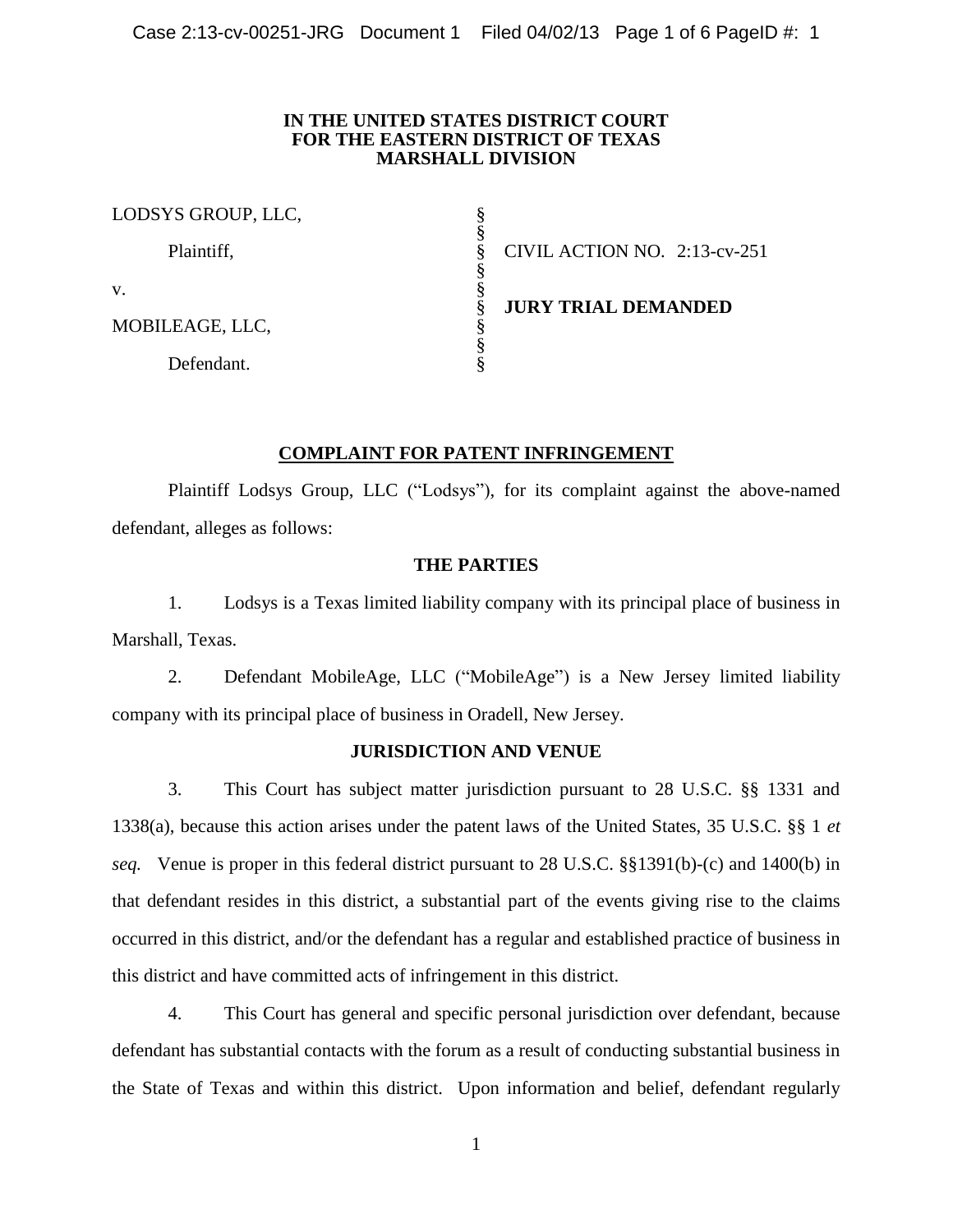## **IN THE UNITED STATES DISTRICT COURT FOR THE EASTERN DISTRICT OF TEXAS MARSHALL DIVISION**

| LODSYS GROUP, LLC, |                              |
|--------------------|------------------------------|
| Plaintiff,         | CIVIL ACTION NO. 2:13-cv-251 |
| V.                 |                              |
| MOBILEAGE, LLC,    | <b>JURY TRIAL DEMANDED</b>   |
| Defendant.         |                              |

## **COMPLAINT FOR PATENT INFRINGEMENT**

Plaintiff Lodsys Group, LLC ("Lodsys"), for its complaint against the above-named defendant, alleges as follows:

# **THE PARTIES**

1. Lodsys is a Texas limited liability company with its principal place of business in Marshall, Texas.

2. Defendant MobileAge, LLC ("MobileAge") is a New Jersey limited liability company with its principal place of business in Oradell, New Jersey.

## **JURISDICTION AND VENUE**

3. This Court has subject matter jurisdiction pursuant to 28 U.S.C. §§ 1331 and 1338(a), because this action arises under the patent laws of the United States, 35 U.S.C. §§ 1 *et seq.* Venue is proper in this federal district pursuant to 28 U.S.C. §§1391(b)-(c) and 1400(b) in that defendant resides in this district, a substantial part of the events giving rise to the claims occurred in this district, and/or the defendant has a regular and established practice of business in this district and have committed acts of infringement in this district.

4. This Court has general and specific personal jurisdiction over defendant, because defendant has substantial contacts with the forum as a result of conducting substantial business in the State of Texas and within this district. Upon information and belief, defendant regularly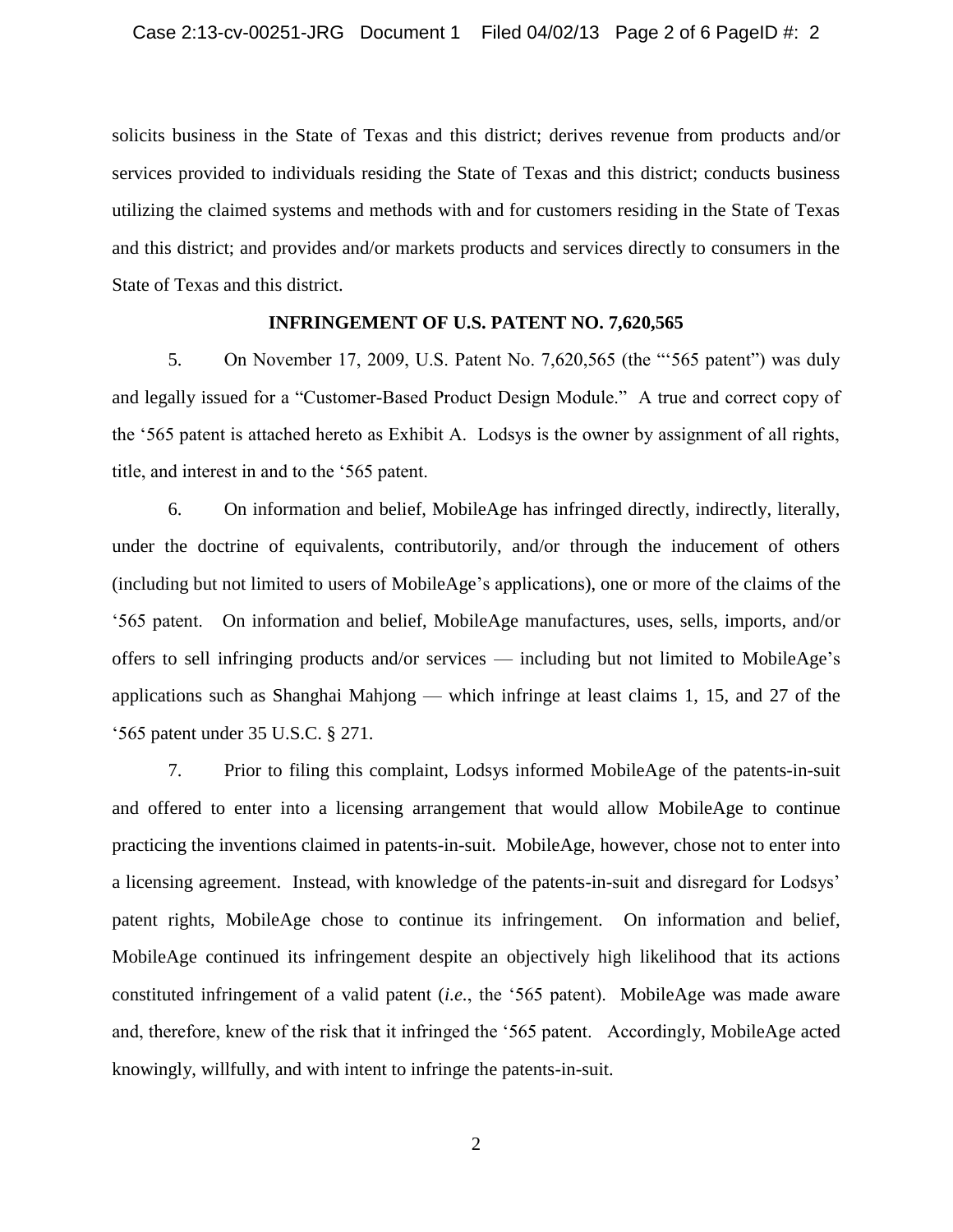solicits business in the State of Texas and this district; derives revenue from products and/or services provided to individuals residing the State of Texas and this district; conducts business utilizing the claimed systems and methods with and for customers residing in the State of Texas and this district; and provides and/or markets products and services directly to consumers in the State of Texas and this district.

## **INFRINGEMENT OF U.S. PATENT NO. 7,620,565**

5. On November 17, 2009, U.S. Patent No. 7,620,565 (the "'565 patent") was duly and legally issued for a "Customer-Based Product Design Module." A true and correct copy of the '565 patent is attached hereto as Exhibit A. Lodsys is the owner by assignment of all rights, title, and interest in and to the '565 patent.

6. On information and belief, MobileAge has infringed directly, indirectly, literally, under the doctrine of equivalents, contributorily, and/or through the inducement of others (including but not limited to users of MobileAge's applications), one or more of the claims of the '565 patent. On information and belief, MobileAge manufactures, uses, sells, imports, and/or offers to sell infringing products and/or services — including but not limited to MobileAge's applications such as Shanghai Mahjong — which infringe at least claims 1, 15, and 27 of the '565 patent under 35 U.S.C. § 271.

7. Prior to filing this complaint, Lodsys informed MobileAge of the patents-in-suit and offered to enter into a licensing arrangement that would allow MobileAge to continue practicing the inventions claimed in patents-in-suit. MobileAge, however, chose not to enter into a licensing agreement. Instead, with knowledge of the patents-in-suit and disregard for Lodsys' patent rights, MobileAge chose to continue its infringement. On information and belief, MobileAge continued its infringement despite an objectively high likelihood that its actions constituted infringement of a valid patent (*i.e.*, the '565 patent). MobileAge was made aware and, therefore, knew of the risk that it infringed the '565 patent. Accordingly, MobileAge acted knowingly, willfully, and with intent to infringe the patents-in-suit.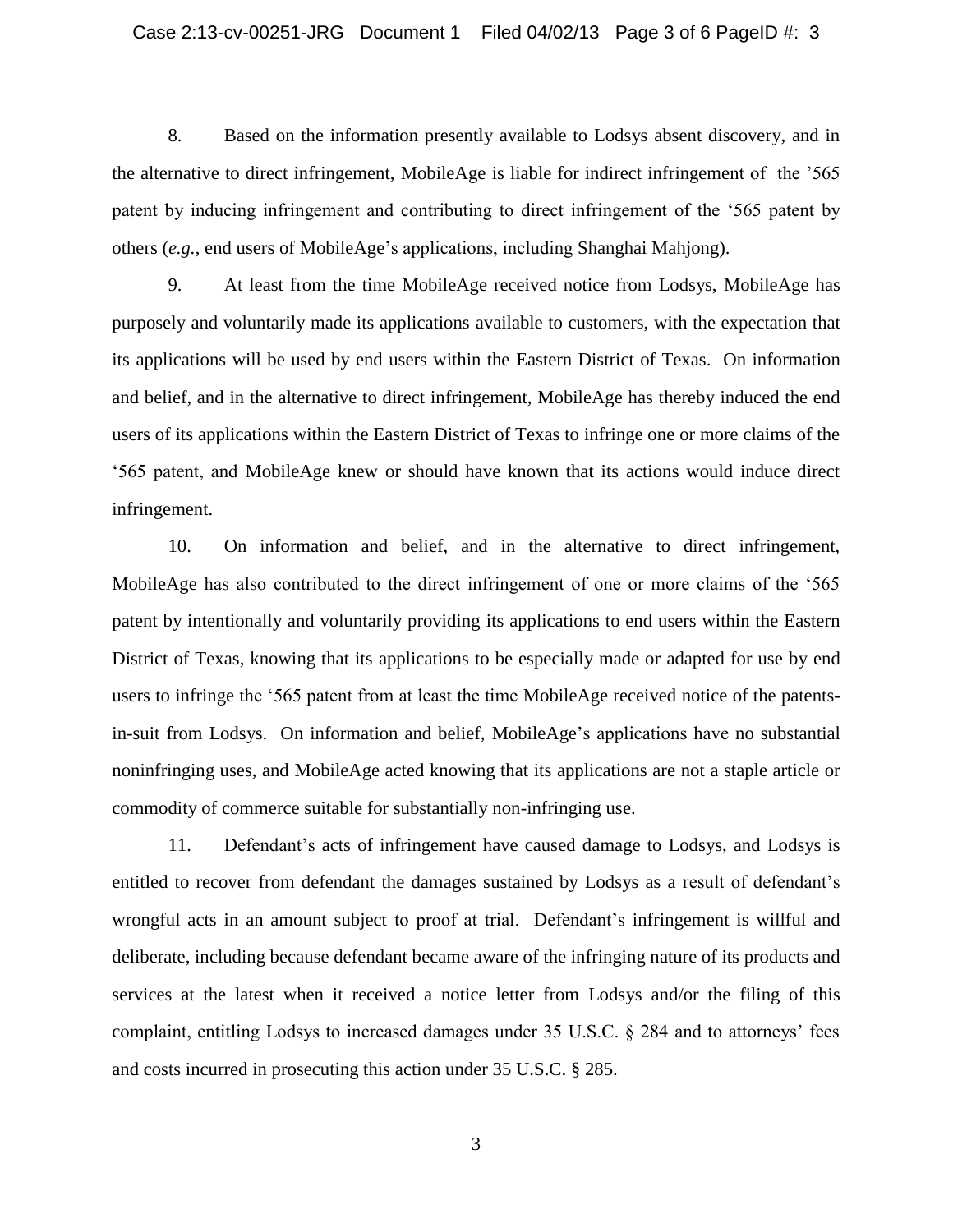8. Based on the information presently available to Lodsys absent discovery, and in the alternative to direct infringement, MobileAge is liable for indirect infringement of the '565 patent by inducing infringement and contributing to direct infringement of the '565 patent by others (*e.g.*, end users of MobileAge's applications, including Shanghai Mahjong).

9. At least from the time MobileAge received notice from Lodsys, MobileAge has purposely and voluntarily made its applications available to customers, with the expectation that its applications will be used by end users within the Eastern District of Texas. On information and belief, and in the alternative to direct infringement, MobileAge has thereby induced the end users of its applications within the Eastern District of Texas to infringe one or more claims of the '565 patent, and MobileAge knew or should have known that its actions would induce direct infringement.

10. On information and belief, and in the alternative to direct infringement, MobileAge has also contributed to the direct infringement of one or more claims of the '565 patent by intentionally and voluntarily providing its applications to end users within the Eastern District of Texas, knowing that its applications to be especially made or adapted for use by end users to infringe the '565 patent from at least the time MobileAge received notice of the patentsin-suit from Lodsys. On information and belief, MobileAge's applications have no substantial noninfringing uses, and MobileAge acted knowing that its applications are not a staple article or commodity of commerce suitable for substantially non-infringing use.

11. Defendant's acts of infringement have caused damage to Lodsys, and Lodsys is entitled to recover from defendant the damages sustained by Lodsys as a result of defendant's wrongful acts in an amount subject to proof at trial. Defendant's infringement is willful and deliberate, including because defendant became aware of the infringing nature of its products and services at the latest when it received a notice letter from Lodsys and/or the filing of this complaint, entitling Lodsys to increased damages under 35 U.S.C. § 284 and to attorneys' fees and costs incurred in prosecuting this action under 35 U.S.C. § 285.

3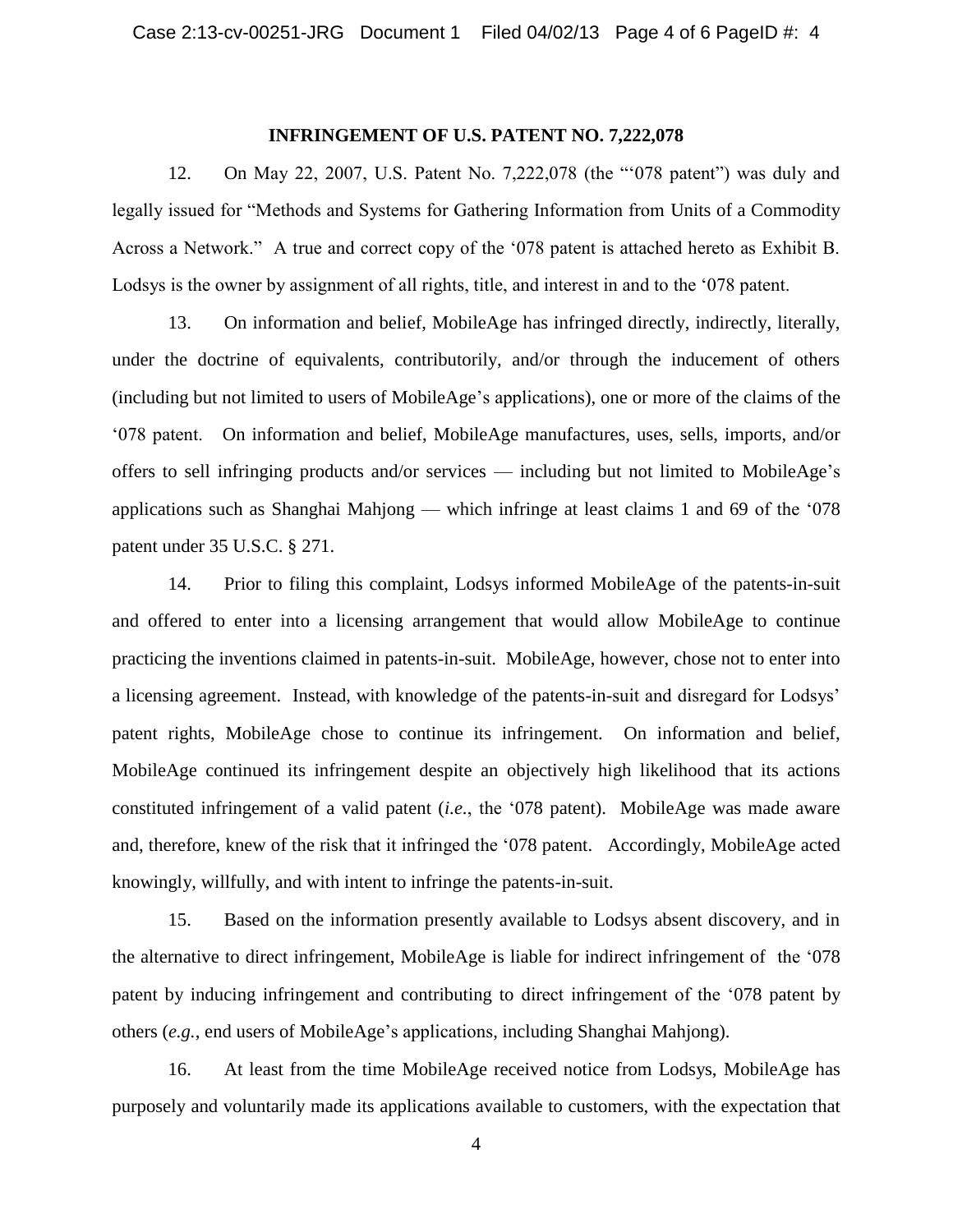#### **INFRINGEMENT OF U.S. PATENT NO. 7,222,078**

12. On May 22, 2007, U.S. Patent No. 7,222,078 (the "'078 patent") was duly and legally issued for "Methods and Systems for Gathering Information from Units of a Commodity Across a Network." A true and correct copy of the '078 patent is attached hereto as Exhibit B. Lodsys is the owner by assignment of all rights, title, and interest in and to the '078 patent.

13. On information and belief, MobileAge has infringed directly, indirectly, literally, under the doctrine of equivalents, contributorily, and/or through the inducement of others (including but not limited to users of MobileAge's applications), one or more of the claims of the '078 patent. On information and belief, MobileAge manufactures, uses, sells, imports, and/or offers to sell infringing products and/or services — including but not limited to MobileAge's applications such as Shanghai Mahjong — which infringe at least claims 1 and 69 of the '078 patent under 35 U.S.C. § 271.

14. Prior to filing this complaint, Lodsys informed MobileAge of the patents-in-suit and offered to enter into a licensing arrangement that would allow MobileAge to continue practicing the inventions claimed in patents-in-suit. MobileAge, however, chose not to enter into a licensing agreement. Instead, with knowledge of the patents-in-suit and disregard for Lodsys' patent rights, MobileAge chose to continue its infringement. On information and belief, MobileAge continued its infringement despite an objectively high likelihood that its actions constituted infringement of a valid patent (*i.e.*, the '078 patent). MobileAge was made aware and, therefore, knew of the risk that it infringed the '078 patent. Accordingly, MobileAge acted knowingly, willfully, and with intent to infringe the patents-in-suit.

15. Based on the information presently available to Lodsys absent discovery, and in the alternative to direct infringement, MobileAge is liable for indirect infringement of the '078 patent by inducing infringement and contributing to direct infringement of the '078 patent by others (*e.g.*, end users of MobileAge's applications, including Shanghai Mahjong).

16. At least from the time MobileAge received notice from Lodsys, MobileAge has purposely and voluntarily made its applications available to customers, with the expectation that

4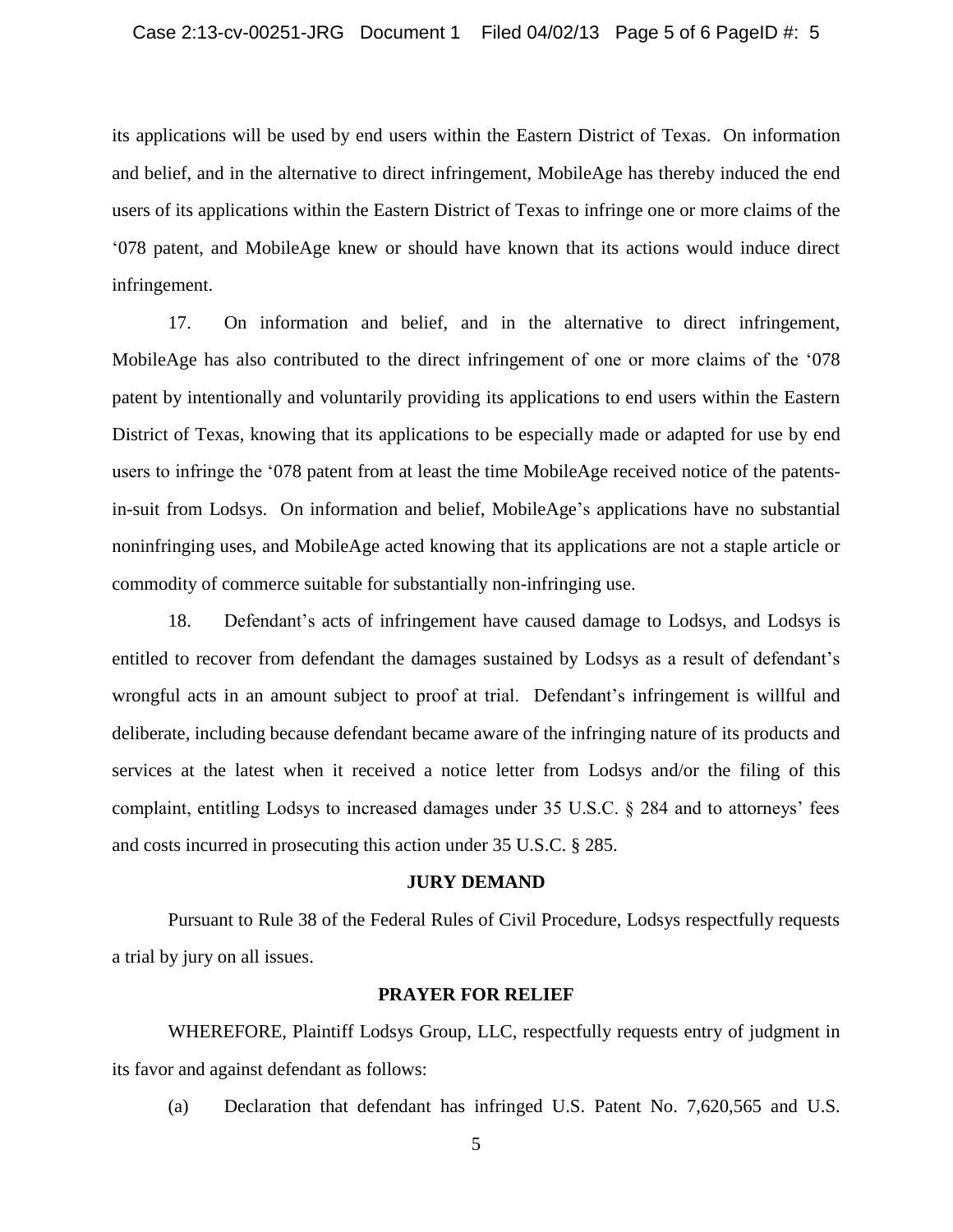its applications will be used by end users within the Eastern District of Texas. On information and belief, and in the alternative to direct infringement, MobileAge has thereby induced the end users of its applications within the Eastern District of Texas to infringe one or more claims of the '078 patent, and MobileAge knew or should have known that its actions would induce direct infringement.

17. On information and belief, and in the alternative to direct infringement, MobileAge has also contributed to the direct infringement of one or more claims of the '078 patent by intentionally and voluntarily providing its applications to end users within the Eastern District of Texas, knowing that its applications to be especially made or adapted for use by end users to infringe the '078 patent from at least the time MobileAge received notice of the patentsin-suit from Lodsys. On information and belief, MobileAge's applications have no substantial noninfringing uses, and MobileAge acted knowing that its applications are not a staple article or commodity of commerce suitable for substantially non-infringing use.

18. Defendant's acts of infringement have caused damage to Lodsys, and Lodsys is entitled to recover from defendant the damages sustained by Lodsys as a result of defendant's wrongful acts in an amount subject to proof at trial. Defendant's infringement is willful and deliberate, including because defendant became aware of the infringing nature of its products and services at the latest when it received a notice letter from Lodsys and/or the filing of this complaint, entitling Lodsys to increased damages under 35 U.S.C. § 284 and to attorneys' fees and costs incurred in prosecuting this action under 35 U.S.C. § 285.

#### **JURY DEMAND**

Pursuant to Rule 38 of the Federal Rules of Civil Procedure, Lodsys respectfully requests a trial by jury on all issues.

### **PRAYER FOR RELIEF**

WHEREFORE, Plaintiff Lodsys Group, LLC, respectfully requests entry of judgment in its favor and against defendant as follows:

(a) Declaration that defendant has infringed U.S. Patent No. 7,620,565 and U.S.